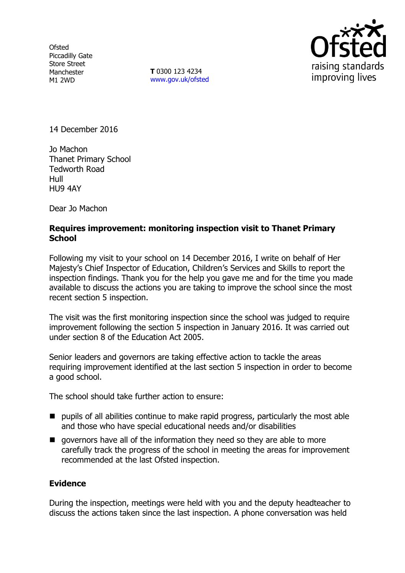**Ofsted** Piccadilly Gate Store Street Manchester M1 2WD

**T** 0300 123 4234 www.gov.uk/ofsted



14 December 2016

Jo Machon Thanet Primary School Tedworth Road Hull HU9 4AY

Dear Jo Machon

## **Requires improvement: monitoring inspection visit to Thanet Primary School**

Following my visit to your school on 14 December 2016, I write on behalf of Her Majesty's Chief Inspector of Education, Children's Services and Skills to report the inspection findings. Thank you for the help you gave me and for the time you made available to discuss the actions you are taking to improve the school since the most recent section 5 inspection.

The visit was the first monitoring inspection since the school was judged to require improvement following the section 5 inspection in January 2016. It was carried out under section 8 of the Education Act 2005.

Senior leaders and governors are taking effective action to tackle the areas requiring improvement identified at the last section 5 inspection in order to become a good school.

The school should take further action to ensure:

- pupils of all abilities continue to make rapid progress, particularly the most able and those who have special educational needs and/or disabilities
- **q** governors have all of the information they need so they are able to more carefully track the progress of the school in meeting the areas for improvement recommended at the last Ofsted inspection.

## **Evidence**

During the inspection, meetings were held with you and the deputy headteacher to discuss the actions taken since the last inspection. A phone conversation was held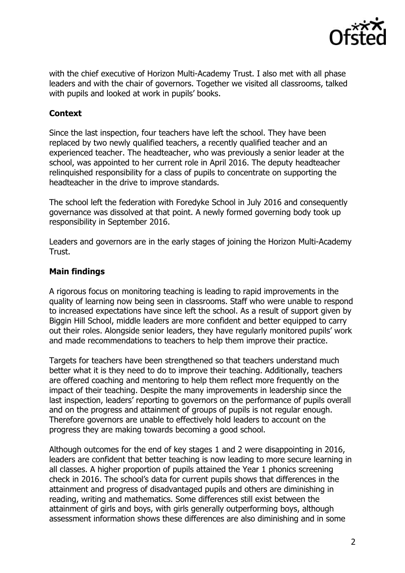

with the chief executive of Horizon Multi-Academy Trust. I also met with all phase leaders and with the chair of governors. Together we visited all classrooms, talked with pupils and looked at work in pupils' books.

# **Context**

Since the last inspection, four teachers have left the school. They have been replaced by two newly qualified teachers, a recently qualified teacher and an experienced teacher. The headteacher, who was previously a senior leader at the school, was appointed to her current role in April 2016. The deputy headteacher relinquished responsibility for a class of pupils to concentrate on supporting the headteacher in the drive to improve standards.

The school left the federation with Foredyke School in July 2016 and consequently governance was dissolved at that point. A newly formed governing body took up responsibility in September 2016.

Leaders and governors are in the early stages of joining the Horizon Multi-Academy Trust.

## **Main findings**

A rigorous focus on monitoring teaching is leading to rapid improvements in the quality of learning now being seen in classrooms. Staff who were unable to respond to increased expectations have since left the school. As a result of support given by Biggin Hill School, middle leaders are more confident and better equipped to carry out their roles. Alongside senior leaders, they have regularly monitored pupils' work and made recommendations to teachers to help them improve their practice.

Targets for teachers have been strengthened so that teachers understand much better what it is they need to do to improve their teaching. Additionally, teachers are offered coaching and mentoring to help them reflect more frequently on the impact of their teaching. Despite the many improvements in leadership since the last inspection, leaders' reporting to governors on the performance of pupils overall and on the progress and attainment of groups of pupils is not regular enough. Therefore governors are unable to effectively hold leaders to account on the progress they are making towards becoming a good school.

Although outcomes for the end of key stages 1 and 2 were disappointing in 2016, leaders are confident that better teaching is now leading to more secure learning in all classes. A higher proportion of pupils attained the Year 1 phonics screening check in 2016. The school's data for current pupils shows that differences in the attainment and progress of disadvantaged pupils and others are diminishing in reading, writing and mathematics. Some differences still exist between the attainment of girls and boys, with girls generally outperforming boys, although assessment information shows these differences are also diminishing and in some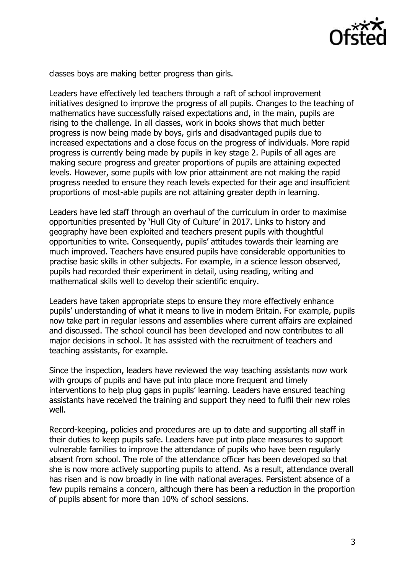

classes boys are making better progress than girls.

Leaders have effectively led teachers through a raft of school improvement initiatives designed to improve the progress of all pupils. Changes to the teaching of mathematics have successfully raised expectations and, in the main, pupils are rising to the challenge. In all classes, work in books shows that much better progress is now being made by boys, girls and disadvantaged pupils due to increased expectations and a close focus on the progress of individuals. More rapid progress is currently being made by pupils in key stage 2. Pupils of all ages are making secure progress and greater proportions of pupils are attaining expected levels. However, some pupils with low prior attainment are not making the rapid progress needed to ensure they reach levels expected for their age and insufficient proportions of most-able pupils are not attaining greater depth in learning.

Leaders have led staff through an overhaul of the curriculum in order to maximise opportunities presented by 'Hull City of Culture' in 2017. Links to history and geography have been exploited and teachers present pupils with thoughtful opportunities to write. Consequently, pupils' attitudes towards their learning are much improved. Teachers have ensured pupils have considerable opportunities to practise basic skills in other subjects. For example, in a science lesson observed, pupils had recorded their experiment in detail, using reading, writing and mathematical skills well to develop their scientific enquiry.

Leaders have taken appropriate steps to ensure they more effectively enhance pupils' understanding of what it means to live in modern Britain. For example, pupils now take part in regular lessons and assemblies where current affairs are explained and discussed. The school council has been developed and now contributes to all major decisions in school. It has assisted with the recruitment of teachers and teaching assistants, for example.

Since the inspection, leaders have reviewed the way teaching assistants now work with groups of pupils and have put into place more frequent and timely interventions to help plug gaps in pupils' learning. Leaders have ensured teaching assistants have received the training and support they need to fulfil their new roles well.

Record-keeping, policies and procedures are up to date and supporting all staff in their duties to keep pupils safe. Leaders have put into place measures to support vulnerable families to improve the attendance of pupils who have been regularly absent from school. The role of the attendance officer has been developed so that she is now more actively supporting pupils to attend. As a result, attendance overall has risen and is now broadly in line with national averages. Persistent absence of a few pupils remains a concern, although there has been a reduction in the proportion of pupils absent for more than 10% of school sessions.